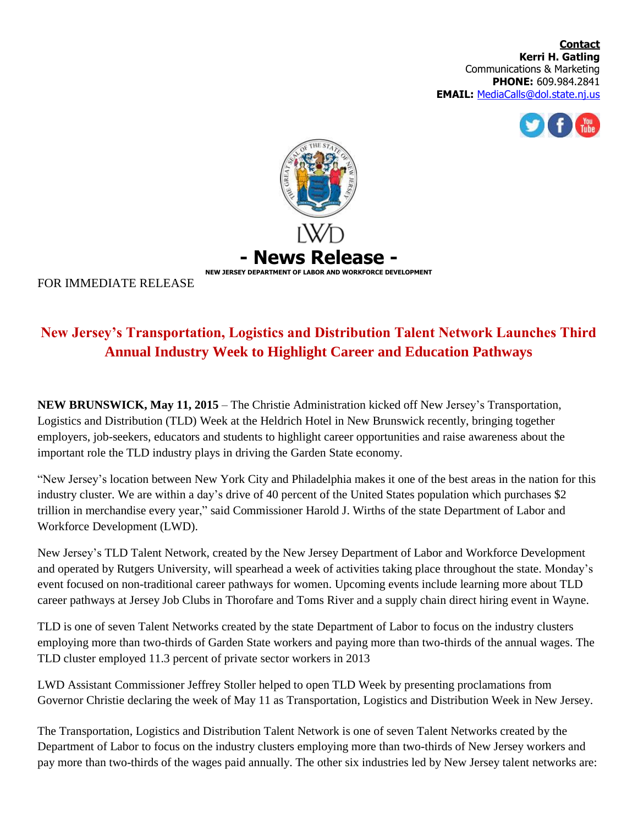



FOR IMMEDIATE RELEASE

## **New Jersey's Transportation, Logistics and Distribution Talent Network Launches Third Annual Industry Week to Highlight Career and Education Pathways**

**NEW BRUNSWICK, May 11, 2015** – The Christie Administration kicked off New Jersey's Transportation, Logistics and Distribution (TLD) Week at the Heldrich Hotel in New Brunswick recently, bringing together employers, job-seekers, educators and students to highlight career opportunities and raise awareness about the important role the TLD industry plays in driving the Garden State economy.

"New Jersey's location between New York City and Philadelphia makes it one of the best areas in the nation for this industry cluster. We are within a day's drive of 40 percent of the United States population which purchases \$2 trillion in merchandise every year," said Commissioner Harold J. Wirths of the state Department of Labor and Workforce Development (LWD).

New Jersey's TLD Talent Network, created by the New Jersey Department of Labor and Workforce Development and operated by Rutgers University, will spearhead a week of activities taking place throughout the state. Monday's event focused on non-traditional career pathways for women. Upcoming events include learning more about TLD career pathways at Jersey Job Clubs in Thorofare and Toms River and a supply chain direct hiring event in Wayne.

TLD is one of seven Talent Networks created by the state Department of Labor to focus on the industry clusters employing more than two-thirds of Garden State workers and paying more than two-thirds of the annual wages. The TLD cluster employed 11.3 percent of private sector workers in 2013

LWD Assistant Commissioner Jeffrey Stoller helped to open TLD Week by presenting proclamations from Governor Christie declaring the week of May 11 as Transportation, Logistics and Distribution Week in New Jersey.

The Transportation, Logistics and Distribution Talent Network is one of seven Talent Networks created by the Department of Labor to focus on the industry clusters employing more than two-thirds of New Jersey workers and pay more than two-thirds of the wages paid annually. The other six industries led by New Jersey talent networks are: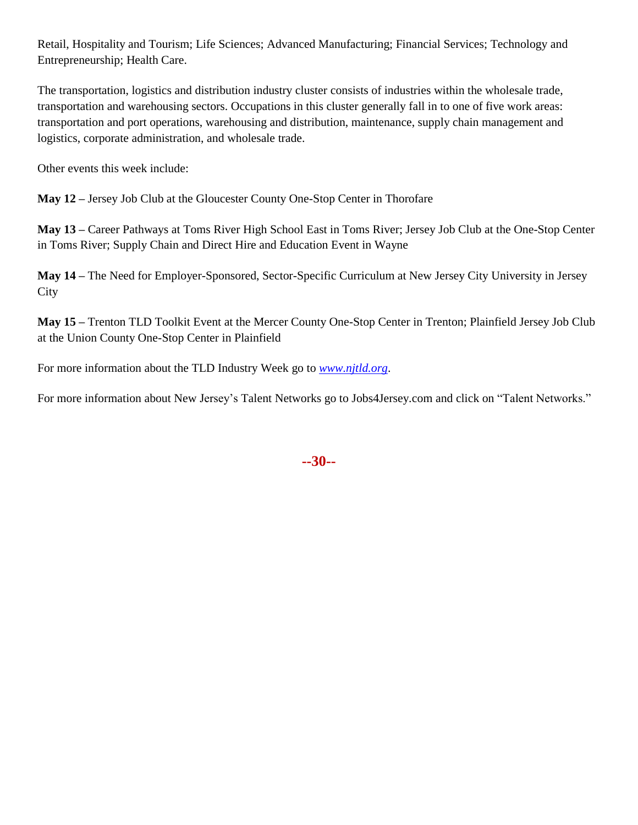Retail, Hospitality and Tourism; Life Sciences; Advanced Manufacturing; Financial Services; Technology and Entrepreneurship; Health Care.

The transportation, logistics and distribution industry cluster consists of industries within the wholesale trade, transportation and warehousing sectors. Occupations in this cluster generally fall in to one of five work areas: transportation and port operations, warehousing and distribution, maintenance, supply chain management and logistics, corporate administration, and wholesale trade.

Other events this week include:

**May 12 –** Jersey Job Club at the Gloucester County One-Stop Center in Thorofare

**May 13 –** Career Pathways at Toms River High School East in Toms River; Jersey Job Club at the One-Stop Center in Toms River; Supply Chain and Direct Hire and Education Event in Wayne

**May 14 –** The Need for Employer-Sponsored, Sector-Specific Curriculum at New Jersey City University in Jersey **City** 

**May 15 –** Trenton TLD Toolkit Event at the Mercer County One-Stop Center in Trenton; Plainfield Jersey Job Club at the Union County One-Stop Center in Plainfield

For more information about the TLD Industry Week go to *[www.njtld.org](http://www.njtld.org/)*.

For more information about New Jersey's Talent Networks go to Jobs4Jersey.com and click on "Talent Networks."